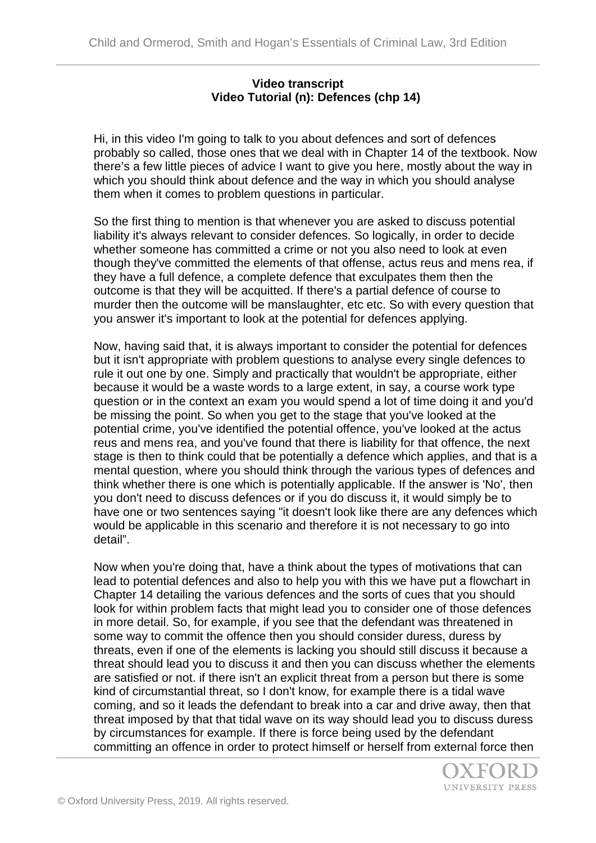## **Video transcript Video Tutorial (n): Defences (chp 14)**

Hi, in this video I'm going to talk to you about defences and sort of defences probably so called, those ones that we deal with in Chapter 14 of the textbook. Now there's a few little pieces of advice I want to give you here, mostly about the way in which you should think about defence and the way in which you should analyse them when it comes to problem questions in particular.

So the first thing to mention is that whenever you are asked to discuss potential liability it's always relevant to consider defences. So logically, in order to decide whether someone has committed a crime or not you also need to look at even though they've committed the elements of that offense, actus reus and mens rea, if they have a full defence, a complete defence that exculpates them then the outcome is that they will be acquitted. If there's a partial defence of course to murder then the outcome will be manslaughter, etc etc. So with every question that you answer it's important to look at the potential for defences applying.

Now, having said that, it is always important to consider the potential for defences but it isn't appropriate with problem questions to analyse every single defences to rule it out one by one. Simply and practically that wouldn't be appropriate, either because it would be a waste words to a large extent, in say, a course work type question or in the context an exam you would spend a lot of time doing it and you'd be missing the point. So when you get to the stage that you've looked at the potential crime, you've identified the potential offence, you've looked at the actus reus and mens rea, and you've found that there is liability for that offence, the next stage is then to think could that be potentially a defence which applies, and that is a mental question, where you should think through the various types of defences and think whether there is one which is potentially applicable. If the answer is 'No', then you don't need to discuss defences or if you do discuss it, it would simply be to have one or two sentences saying "it doesn't look like there are any defences which would be applicable in this scenario and therefore it is not necessary to go into detail".

Now when you're doing that, have a think about the types of motivations that can lead to potential defences and also to help you with this we have put a flowchart in Chapter 14 detailing the various defences and the sorts of cues that you should look for within problem facts that might lead you to consider one of those defences in more detail. So, for example, if you see that the defendant was threatened in some way to commit the offence then you should consider duress, duress by threats, even if one of the elements is lacking you should still discuss it because a threat should lead you to discuss it and then you can discuss whether the elements are satisfied or not. if there isn't an explicit threat from a person but there is some kind of circumstantial threat, so I don't know, for example there is a tidal wave coming, and so it leads the defendant to break into a car and drive away, then that threat imposed by that that tidal wave on its way should lead you to discuss duress by circumstances for example. If there is force being used by the defendant committing an offence in order to protect himself or herself from external force then